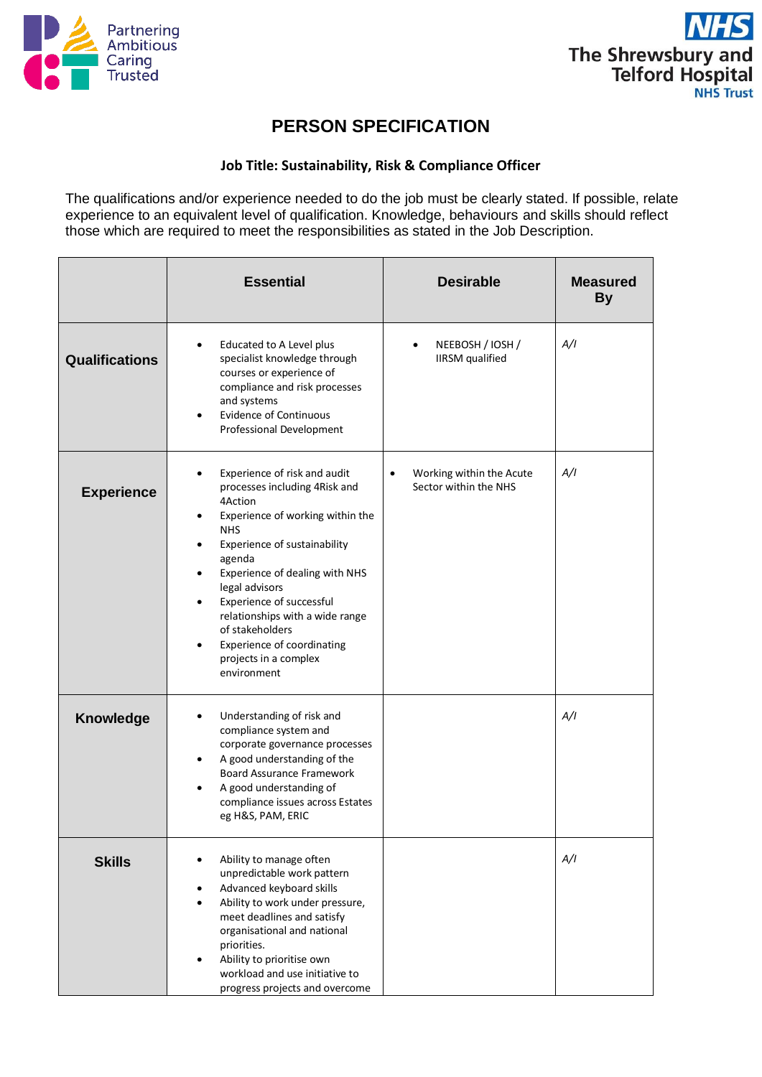



## **PERSON SPECIFICATION**

## **Job Title: Sustainability, Risk & Compliance Officer**

The qualifications and/or experience needed to do the job must be clearly stated. If possible, relate experience to an equivalent level of qualification. Knowledge, behaviours and skills should reflect those which are required to meet the responsibilities as stated in the Job Description.

|                       | <b>Essential</b>                                                                                                                                                                                                                                                                                                                                                                 | <b>Desirable</b>                                               | <b>Measured</b><br><b>By</b> |
|-----------------------|----------------------------------------------------------------------------------------------------------------------------------------------------------------------------------------------------------------------------------------------------------------------------------------------------------------------------------------------------------------------------------|----------------------------------------------------------------|------------------------------|
| <b>Qualifications</b> | Educated to A Level plus<br>$\bullet$<br>specialist knowledge through<br>courses or experience of<br>compliance and risk processes<br>and systems<br><b>Evidence of Continuous</b><br>Professional Development                                                                                                                                                                   | NEEBOSH / IOSH /<br>$\bullet$<br><b>IIRSM</b> qualified        | A/I                          |
| <b>Experience</b>     | Experience of risk and audit<br>processes including 4Risk and<br>4Action<br>Experience of working within the<br><b>NHS</b><br>Experience of sustainability<br>agenda<br>Experience of dealing with NHS<br>legal advisors<br>Experience of successful<br>relationships with a wide range<br>of stakeholders<br>Experience of coordinating<br>projects in a complex<br>environment | Working within the Acute<br>$\bullet$<br>Sector within the NHS | A/I                          |
| <b>Knowledge</b>      | Understanding of risk and<br>compliance system and<br>corporate governance processes<br>A good understanding of the<br><b>Board Assurance Framework</b><br>A good understanding of<br>compliance issues across Estates<br>eg H&S, PAM, ERIC                                                                                                                                      |                                                                | A/I                          |
| <b>Skills</b>         | Ability to manage often<br>unpredictable work pattern<br>Advanced keyboard skills<br>Ability to work under pressure,<br>meet deadlines and satisfy<br>organisational and national<br>priorities.<br>Ability to prioritise own<br>workload and use initiative to<br>progress projects and overcome                                                                                |                                                                | A/I                          |